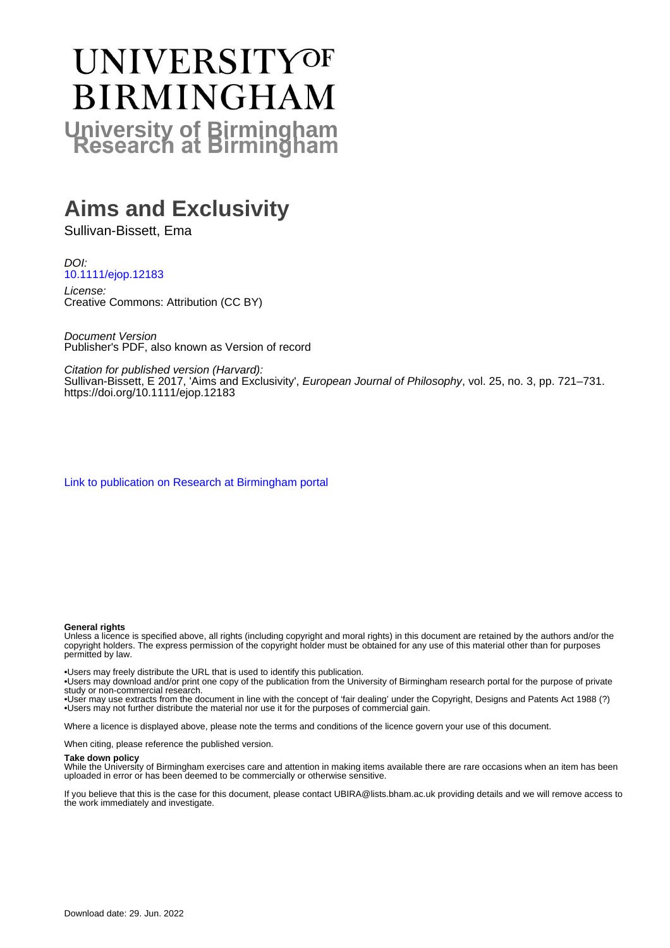# **UNIVERSITYOF BIRMINGHAM University of Birmingham**

## **Aims and Exclusivity**

Sullivan-Bissett, Ema

DOI: [10.1111/ejop.12183](https://doi.org/10.1111/ejop.12183)

License: Creative Commons: Attribution (CC BY)

Document Version Publisher's PDF, also known as Version of record

Citation for published version (Harvard): Sullivan-Bissett, E 2017, 'Aims and Exclusivity', European Journal of Philosophy, vol. 25, no. 3, pp. 721–731. <https://doi.org/10.1111/ejop.12183>

[Link to publication on Research at Birmingham portal](https://birmingham.elsevierpure.com/en/publications/fcb36fd5-3087-4617-b1d3-a28fda2ebfe4)

#### **General rights**

Unless a licence is specified above, all rights (including copyright and moral rights) in this document are retained by the authors and/or the copyright holders. The express permission of the copyright holder must be obtained for any use of this material other than for purposes permitted by law.

• Users may freely distribute the URL that is used to identify this publication.

• Users may download and/or print one copy of the publication from the University of Birmingham research portal for the purpose of private study or non-commercial research.

• User may use extracts from the document in line with the concept of 'fair dealing' under the Copyright, Designs and Patents Act 1988 (?) • Users may not further distribute the material nor use it for the purposes of commercial gain.

Where a licence is displayed above, please note the terms and conditions of the licence govern your use of this document.

When citing, please reference the published version.

#### **Take down policy**

While the University of Birmingham exercises care and attention in making items available there are rare occasions when an item has been uploaded in error or has been deemed to be commercially or otherwise sensitive.

If you believe that this is the case for this document, please contact UBIRA@lists.bham.ac.uk providing details and we will remove access to the work immediately and investigate.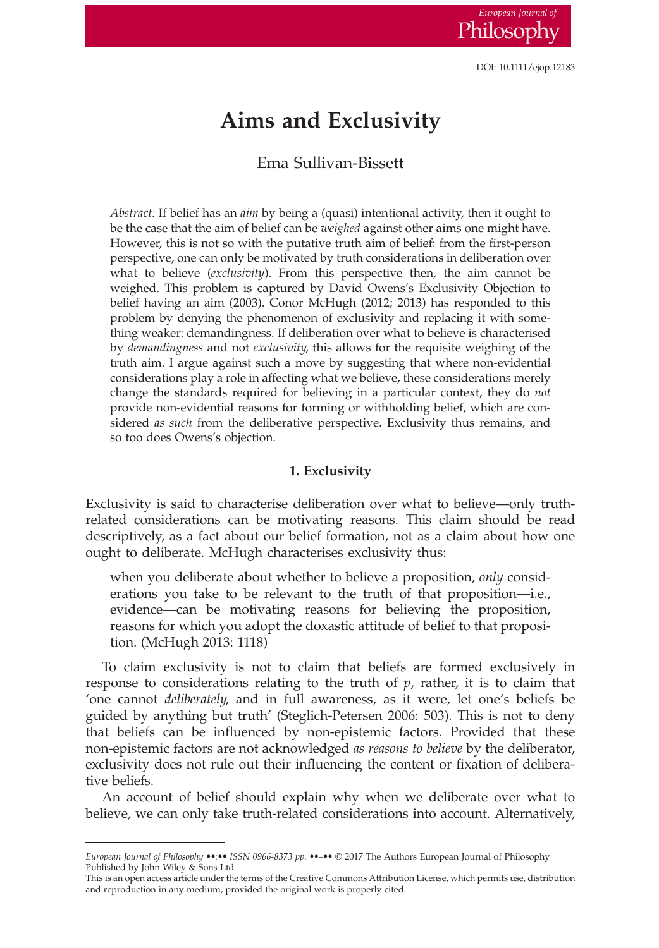DOI: 10.1111/ejop.12183

### Aims and Exclusivity

#### Ema Sullivan-Bissett

Abstract: If belief has an *aim* by being a (quasi) intentional activity, then it ought to be the case that the aim of belief can be weighed against other aims one might have. However, this is not so with the putative truth aim of belief: from the first-person perspective, one can only be motivated by truth considerations in deliberation over what to believe (exclusivity). From this perspective then, the aim cannot be weighed. This problem is captured by David Owens's Exclusivity Objection to belief having an aim (2003). Conor McHugh (2012; 2013) has responded to this problem by denying the phenomenon of exclusivity and replacing it with something weaker: demandingness. If deliberation over what to believe is characterised by demandingness and not exclusivity, this allows for the requisite weighing of the truth aim. I argue against such a move by suggesting that where non-evidential considerations play a role in affecting what we believe, these considerations merely change the standards required for believing in a particular context, they do not provide non-evidential reasons for forming or withholding belief, which are considered as such from the deliberative perspective. Exclusivity thus remains, and so too does Owens's objection.

#### 1. Exclusivity

Exclusivity is said to characterise deliberation over what to believe—only truthrelated considerations can be motivating reasons. This claim should be read descriptively, as a fact about our belief formation, not as a claim about how one ought to deliberate. McHugh characterises exclusivity thus:

when you deliberate about whether to believe a proposition, only considerations you take to be relevant to the truth of that proposition—i.e., evidence—can be motivating reasons for believing the proposition, reasons for which you adopt the doxastic attitude of belief to that proposition. (McHugh 2013: 1118)

To claim exclusivity is not to claim that beliefs are formed exclusively in response to considerations relating to the truth of  $p$ , rather, it is to claim that 'one cannot deliberately, and in full awareness, as it were, let one's beliefs be guided by anything but truth' (Steglich-Petersen 2006: 503). This is not to deny that beliefs can be influenced by non-epistemic factors. Provided that these non-epistemic factors are not acknowledged as reasons to believe by the deliberator, exclusivity does not rule out their influencing the content or fixation of deliberative beliefs.

An account of belief should explain why when we deliberate over what to believe, we can only take truth-related considerations into account. Alternatively,

European Journal of Philosophy ••:•• ISSN 0966-8373 pp. ••–•• © 2017 The Authors European Journal of Philosophy Published by John Wiley & Sons Ltd

This is an open access article under the terms of the [Creative Commons Attribution](http://creativecommons.org/licenses/by/4.0/) License, which permits use, distribution and reproduction in any medium, provided the original work is properly cited.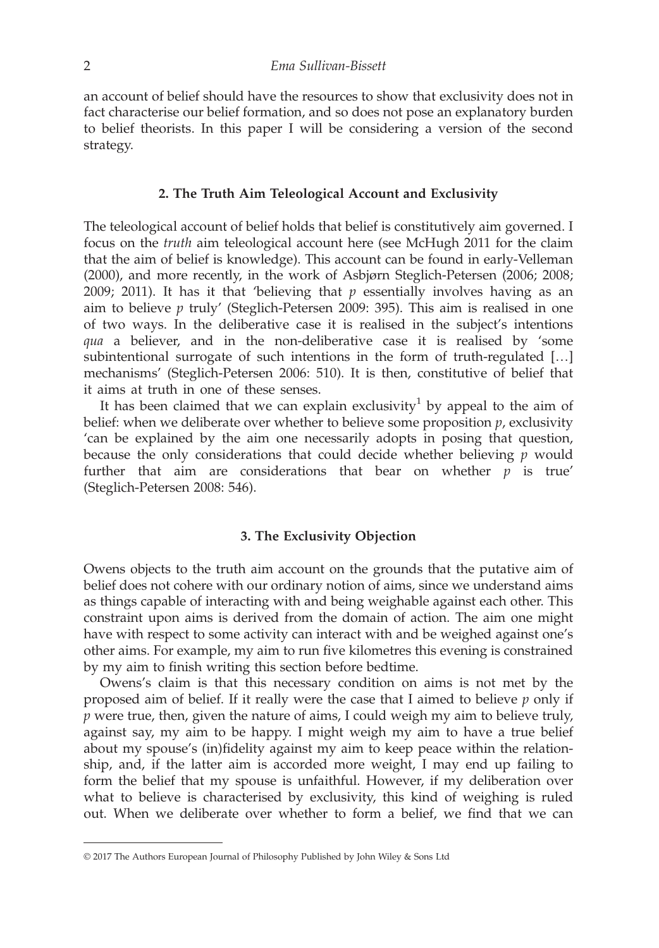an account of belief should have the resources to show that exclusivity does not in fact characterise our belief formation, and so does not pose an explanatory burden to belief theorists. In this paper I will be considering a version of the second strategy.

#### 2. The Truth Aim Teleological Account and Exclusivity

The teleological account of belief holds that belief is constitutively aim governed. I focus on the truth aim teleological account here (see McHugh 2011 for the claim that the aim of belief is knowledge). This account can be found in early-Velleman (2000), and more recently, in the work of Asbjørn Steglich-Petersen (2006; 2008; 2009; 2011). It has it that 'believing that  $p$  essentially involves having as an aim to believe p truly' (Steglich-Petersen 2009: 395). This aim is realised in one of two ways. In the deliberative case it is realised in the subject's intentions qua a believer, and in the non-deliberative case it is realised by 'some subintentional surrogate of such intentions in the form of truth-regulated […] mechanisms' (Steglich-Petersen 2006: 510). It is then, constitutive of belief that it aims at truth in one of these senses.

It has been claimed that we can explain exclusivity<sup>1</sup> by appeal to the aim of belief: when we deliberate over whether to believe some proposition  $p$ , exclusivity 'can be explained by the aim one necessarily adopts in posing that question, because the only considerations that could decide whether believing  $\bar{p}$  would further that aim are considerations that bear on whether  $p$  is true' (Steglich-Petersen 2008: 546).

#### 3. The Exclusivity Objection

Owens objects to the truth aim account on the grounds that the putative aim of belief does not cohere with our ordinary notion of aims, since we understand aims as things capable of interacting with and being weighable against each other. This constraint upon aims is derived from the domain of action. The aim one might have with respect to some activity can interact with and be weighed against one's other aims. For example, my aim to run five kilometres this evening is constrained by my aim to finish writing this section before bedtime.

Owens's claim is that this necessary condition on aims is not met by the proposed aim of belief. If it really were the case that I aimed to believe  $p$  only if  $p$  were true, then, given the nature of aims, I could weigh my aim to believe truly, against say, my aim to be happy. I might weigh my aim to have a true belief about my spouse's (in)fidelity against my aim to keep peace within the relationship, and, if the latter aim is accorded more weight, I may end up failing to form the belief that my spouse is unfaithful. However, if my deliberation over what to believe is characterised by exclusivity, this kind of weighing is ruled out. When we deliberate over whether to form a belief, we find that we can

<sup>© 2017</sup> The Authors European Journal of Philosophy Published by John Wiley & Sons Ltd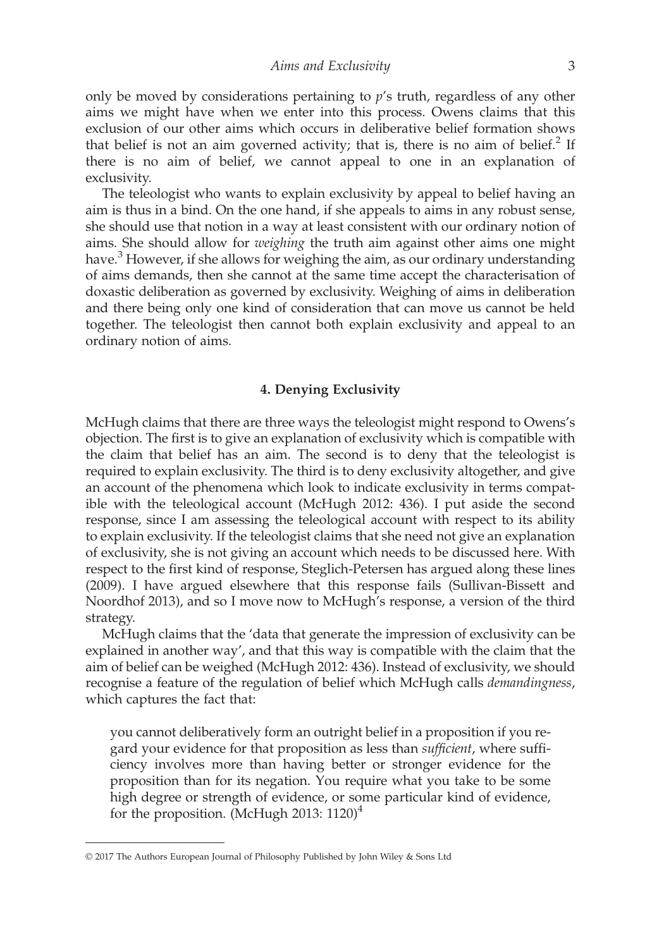only be moved by considerations pertaining to  $p$ 's truth, regardless of any other aims we might have when we enter into this process. Owens claims that this exclusion of our other aims which occurs in deliberative belief formation shows that belief is not an aim governed activity; that is, there is no aim of belief.<sup>2</sup> If there is no aim of belief, we cannot appeal to one in an explanation of exclusivity.

The teleologist who wants to explain exclusivity by appeal to belief having an aim is thus in a bind. On the one hand, if she appeals to aims in any robust sense, she should use that notion in a way at least consistent with our ordinary notion of aims. She should allow for weighing the truth aim against other aims one might have.<sup>3</sup> However, if she allows for weighing the aim, as our ordinary understanding of aims demands, then she cannot at the same time accept the characterisation of doxastic deliberation as governed by exclusivity. Weighing of aims in deliberation and there being only one kind of consideration that can move us cannot be held together. The teleologist then cannot both explain exclusivity and appeal to an ordinary notion of aims.

#### 4. Denying Exclusivity

McHugh claims that there are three ways the teleologist might respond to Owens's objection. The first is to give an explanation of exclusivity which is compatible with the claim that belief has an aim. The second is to deny that the teleologist is required to explain exclusivity. The third is to deny exclusivity altogether, and give an account of the phenomena which look to indicate exclusivity in terms compatible with the teleological account (McHugh 2012: 436). I put aside the second response, since I am assessing the teleological account with respect to its ability to explain exclusivity. If the teleologist claims that she need not give an explanation of exclusivity, she is not giving an account which needs to be discussed here. With respect to the first kind of response, Steglich-Petersen has argued along these lines (2009). I have argued elsewhere that this response fails (Sullivan-Bissett and Noordhof 2013), and so I move now to McHugh's response, a version of the third strategy.

McHugh claims that the 'data that generate the impression of exclusivity can be explained in another way', and that this way is compatible with the claim that the aim of belief can be weighed (McHugh 2012: 436). Instead of exclusivity, we should recognise a feature of the regulation of belief which McHugh calls demandingness, which captures the fact that:

you cannot deliberatively form an outright belief in a proposition if you regard your evidence for that proposition as less than sufficient, where sufficiency involves more than having better or stronger evidence for the proposition than for its negation. You require what you take to be some high degree or strength of evidence, or some particular kind of evidence, for the proposition. (McHugh 2013:  $1120$ )<sup>4</sup>

<sup>© 2017</sup> The Authors European Journal of Philosophy Published by John Wiley & Sons Ltd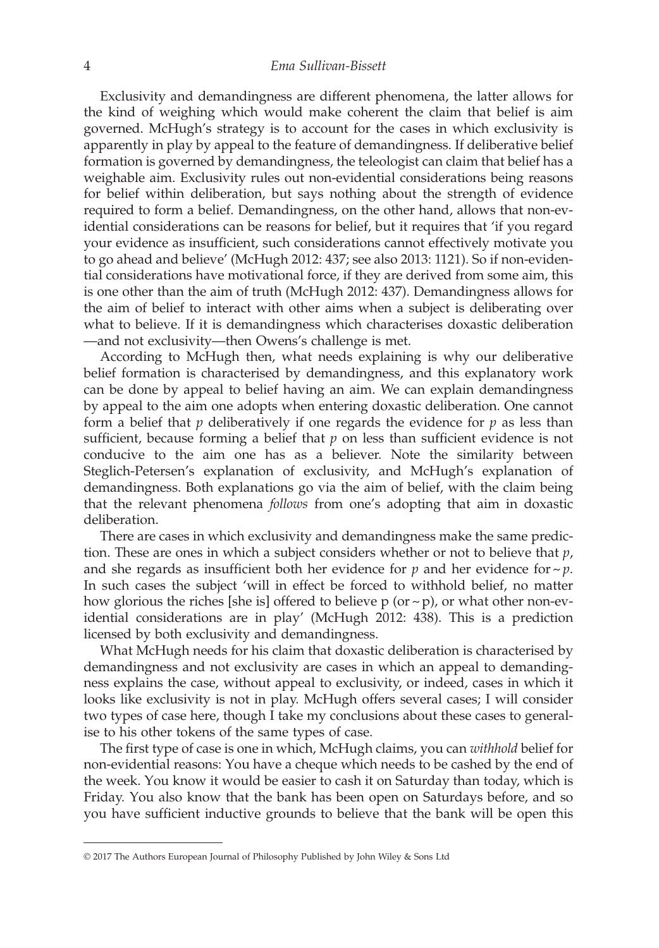#### 4 Ema Sullivan-Bissett

Exclusivity and demandingness are different phenomena, the latter allows for the kind of weighing which would make coherent the claim that belief is aim governed. McHugh's strategy is to account for the cases in which exclusivity is apparently in play by appeal to the feature of demandingness. If deliberative belief formation is governed by demandingness, the teleologist can claim that belief has a weighable aim. Exclusivity rules out non-evidential considerations being reasons for belief within deliberation, but says nothing about the strength of evidence required to form a belief. Demandingness, on the other hand, allows that non-evidential considerations can be reasons for belief, but it requires that 'if you regard your evidence as insufficient, such considerations cannot effectively motivate you to go ahead and believe' (McHugh 2012: 437; see also 2013: 1121). So if non-evidential considerations have motivational force, if they are derived from some aim, this is one other than the aim of truth (McHugh 2012: 437). Demandingness allows for the aim of belief to interact with other aims when a subject is deliberating over what to believe. If it is demandingness which characterises doxastic deliberation —and not exclusivity—then Owens's challenge is met.

According to McHugh then, what needs explaining is why our deliberative belief formation is characterised by demandingness, and this explanatory work can be done by appeal to belief having an aim. We can explain demandingness by appeal to the aim one adopts when entering doxastic deliberation. One cannot form a belief that  $p$  deliberatively if one regards the evidence for  $p$  as less than sufficient, because forming a belief that  $p$  on less than sufficient evidence is not conducive to the aim one has as a believer. Note the similarity between Steglich-Petersen's explanation of exclusivity, and McHugh's explanation of demandingness. Both explanations go via the aim of belief, with the claim being that the relevant phenomena follows from one's adopting that aim in doxastic deliberation.

There are cases in which exclusivity and demandingness make the same prediction. These are ones in which a subject considers whether or not to believe that p, and she regards as insufficient both her evidence for p and her evidence for  $\sim p$ . In such cases the subject 'will in effect be forced to withhold belief, no matter how glorious the riches [she is] offered to believe p (or  $\sim$  p), or what other non-evidential considerations are in play' (McHugh 2012: 438). This is a prediction licensed by both exclusivity and demandingness.

What McHugh needs for his claim that doxastic deliberation is characterised by demandingness and not exclusivity are cases in which an appeal to demandingness explains the case, without appeal to exclusivity, or indeed, cases in which it looks like exclusivity is not in play. McHugh offers several cases; I will consider two types of case here, though I take my conclusions about these cases to generalise to his other tokens of the same types of case.

The first type of case is one in which, McHugh claims, you can withhold belief for non-evidential reasons: You have a cheque which needs to be cashed by the end of the week. You know it would be easier to cash it on Saturday than today, which is Friday. You also know that the bank has been open on Saturdays before, and so you have sufficient inductive grounds to believe that the bank will be open this

<sup>© 2017</sup> The Authors European Journal of Philosophy Published by John Wiley & Sons Ltd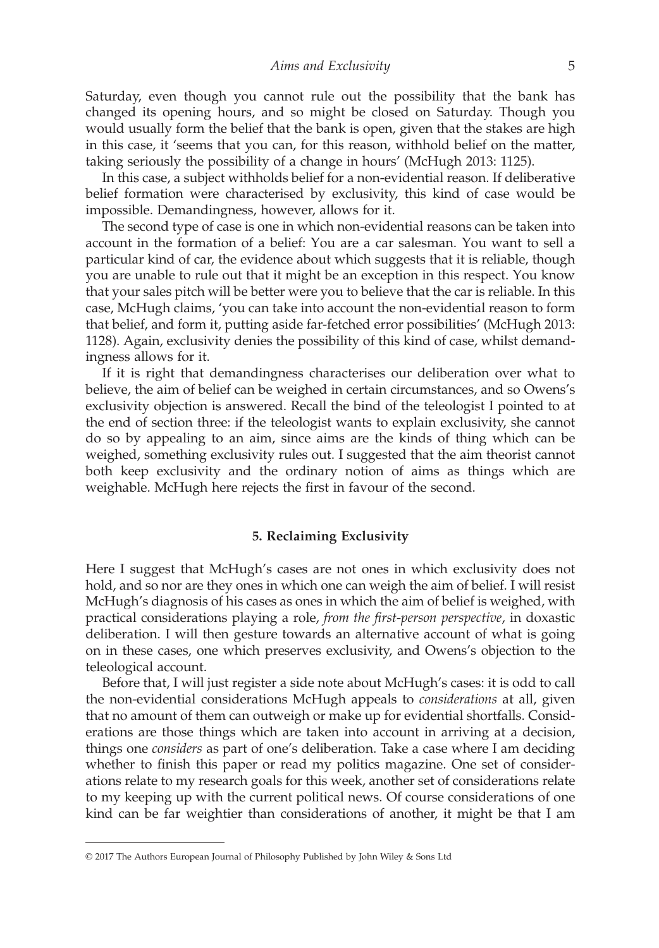Saturday, even though you cannot rule out the possibility that the bank has changed its opening hours, and so might be closed on Saturday. Though you would usually form the belief that the bank is open, given that the stakes are high in this case, it 'seems that you can, for this reason, withhold belief on the matter, taking seriously the possibility of a change in hours' (McHugh 2013: 1125).

In this case, a subject withholds belief for a non-evidential reason. If deliberative belief formation were characterised by exclusivity, this kind of case would be impossible. Demandingness, however, allows for it.

The second type of case is one in which non-evidential reasons can be taken into account in the formation of a belief: You are a car salesman. You want to sell a particular kind of car, the evidence about which suggests that it is reliable, though you are unable to rule out that it might be an exception in this respect. You know that your sales pitch will be better were you to believe that the car is reliable. In this case, McHugh claims, 'you can take into account the non-evidential reason to form that belief, and form it, putting aside far-fetched error possibilities' (McHugh 2013: 1128). Again, exclusivity denies the possibility of this kind of case, whilst demandingness allows for it.

If it is right that demandingness characterises our deliberation over what to believe, the aim of belief can be weighed in certain circumstances, and so Owens's exclusivity objection is answered. Recall the bind of the teleologist I pointed to at the end of section three: if the teleologist wants to explain exclusivity, she cannot do so by appealing to an aim, since aims are the kinds of thing which can be weighed, something exclusivity rules out. I suggested that the aim theorist cannot both keep exclusivity and the ordinary notion of aims as things which are weighable. McHugh here rejects the first in favour of the second.

#### 5. Reclaiming Exclusivity

Here I suggest that McHugh's cases are not ones in which exclusivity does not hold, and so nor are they ones in which one can weigh the aim of belief. I will resist McHugh's diagnosis of his cases as ones in which the aim of belief is weighed, with practical considerations playing a role, from the first-person perspective, in doxastic deliberation. I will then gesture towards an alternative account of what is going on in these cases, one which preserves exclusivity, and Owens's objection to the teleological account.

Before that, I will just register a side note about McHugh's cases: it is odd to call the non-evidential considerations McHugh appeals to considerations at all, given that no amount of them can outweigh or make up for evidential shortfalls. Considerations are those things which are taken into account in arriving at a decision, things one considers as part of one's deliberation. Take a case where I am deciding whether to finish this paper or read my politics magazine. One set of considerations relate to my research goals for this week, another set of considerations relate to my keeping up with the current political news. Of course considerations of one kind can be far weightier than considerations of another, it might be that I am

<sup>© 2017</sup> The Authors European Journal of Philosophy Published by John Wiley & Sons Ltd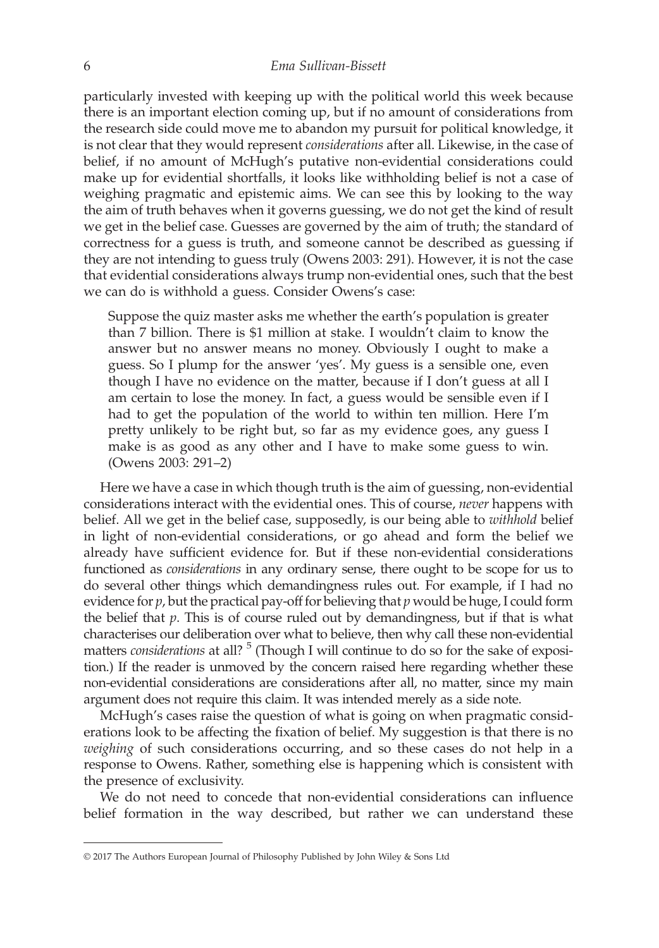#### 6 Ema Sullivan-Bissett

particularly invested with keeping up with the political world this week because there is an important election coming up, but if no amount of considerations from the research side could move me to abandon my pursuit for political knowledge, it is not clear that they would represent considerations after all. Likewise, in the case of belief, if no amount of McHugh's putative non-evidential considerations could make up for evidential shortfalls, it looks like withholding belief is not a case of weighing pragmatic and epistemic aims. We can see this by looking to the way the aim of truth behaves when it governs guessing, we do not get the kind of result we get in the belief case. Guesses are governed by the aim of truth; the standard of correctness for a guess is truth, and someone cannot be described as guessing if they are not intending to guess truly (Owens 2003: 291). However, it is not the case that evidential considerations always trump non-evidential ones, such that the best we can do is withhold a guess. Consider Owens's case:

Suppose the quiz master asks me whether the earth's population is greater than 7 billion. There is \$1 million at stake. I wouldn't claim to know the answer but no answer means no money. Obviously I ought to make a guess. So I plump for the answer 'yes'. My guess is a sensible one, even though I have no evidence on the matter, because if I don't guess at all I am certain to lose the money. In fact, a guess would be sensible even if I had to get the population of the world to within ten million. Here I'm pretty unlikely to be right but, so far as my evidence goes, any guess I make is as good as any other and I have to make some guess to win. (Owens 2003: 291–2)

Here we have a case in which though truth is the aim of guessing, non-evidential considerations interact with the evidential ones. This of course, never happens with belief. All we get in the belief case, supposedly, is our being able to withhold belief in light of non-evidential considerations, or go ahead and form the belief we already have sufficient evidence for. But if these non-evidential considerations functioned as considerations in any ordinary sense, there ought to be scope for us to do several other things which demandingness rules out. For example, if I had no evidence for  $p$ , but the practical pay-off for believing that  $p$  would be huge, I could form the belief that  $p$ . This is of course ruled out by demandingness, but if that is what characterises our deliberation over what to believe, then why call these non-evidential matters considerations at all?<sup>5</sup> (Though I will continue to do so for the sake of exposition.) If the reader is unmoved by the concern raised here regarding whether these non-evidential considerations are considerations after all, no matter, since my main argument does not require this claim. It was intended merely as a side note.

McHugh's cases raise the question of what is going on when pragmatic considerations look to be affecting the fixation of belief. My suggestion is that there is no weighing of such considerations occurring, and so these cases do not help in a response to Owens. Rather, something else is happening which is consistent with the presence of exclusivity.

We do not need to concede that non-evidential considerations can influence belief formation in the way described, but rather we can understand these

<sup>© 2017</sup> The Authors European Journal of Philosophy Published by John Wiley & Sons Ltd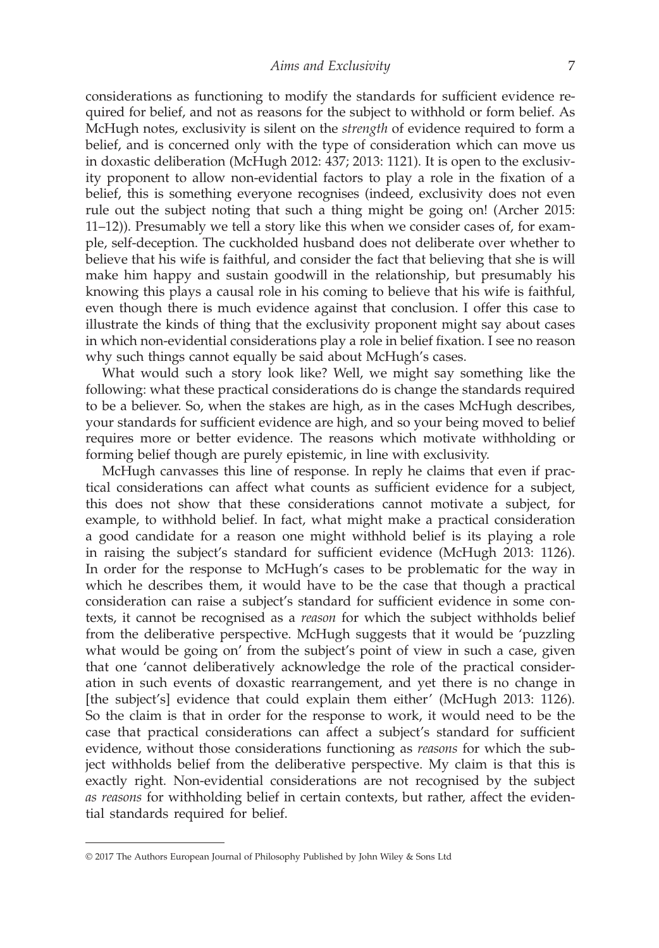considerations as functioning to modify the standards for sufficient evidence required for belief, and not as reasons for the subject to withhold or form belief. As McHugh notes, exclusivity is silent on the *strength* of evidence required to form a belief, and is concerned only with the type of consideration which can move us in doxastic deliberation (McHugh 2012: 437; 2013: 1121). It is open to the exclusivity proponent to allow non-evidential factors to play a role in the fixation of a belief, this is something everyone recognises (indeed, exclusivity does not even rule out the subject noting that such a thing might be going on! (Archer 2015: 11–12)). Presumably we tell a story like this when we consider cases of, for example, self-deception. The cuckholded husband does not deliberate over whether to believe that his wife is faithful, and consider the fact that believing that she is will make him happy and sustain goodwill in the relationship, but presumably his knowing this plays a causal role in his coming to believe that his wife is faithful, even though there is much evidence against that conclusion. I offer this case to illustrate the kinds of thing that the exclusivity proponent might say about cases in which non-evidential considerations play a role in belief fixation. I see no reason why such things cannot equally be said about McHugh's cases.

What would such a story look like? Well, we might say something like the following: what these practical considerations do is change the standards required to be a believer. So, when the stakes are high, as in the cases McHugh describes, your standards for sufficient evidence are high, and so your being moved to belief requires more or better evidence. The reasons which motivate withholding or forming belief though are purely epistemic, in line with exclusivity.

McHugh canvasses this line of response. In reply he claims that even if practical considerations can affect what counts as sufficient evidence for a subject, this does not show that these considerations cannot motivate a subject, for example, to withhold belief. In fact, what might make a practical consideration a good candidate for a reason one might withhold belief is its playing a role in raising the subject's standard for sufficient evidence (McHugh 2013: 1126). In order for the response to McHugh's cases to be problematic for the way in which he describes them, it would have to be the case that though a practical consideration can raise a subject's standard for sufficient evidence in some contexts, it cannot be recognised as a reason for which the subject withholds belief from the deliberative perspective. McHugh suggests that it would be 'puzzling what would be going on' from the subject's point of view in such a case, given that one 'cannot deliberatively acknowledge the role of the practical consideration in such events of doxastic rearrangement, and yet there is no change in [the subject's] evidence that could explain them either' (McHugh 2013: 1126). So the claim is that in order for the response to work, it would need to be the case that practical considerations can affect a subject's standard for sufficient evidence, without those considerations functioning as reasons for which the subject withholds belief from the deliberative perspective. My claim is that this is exactly right. Non-evidential considerations are not recognised by the subject as reasons for withholding belief in certain contexts, but rather, affect the evidential standards required for belief.

<sup>© 2017</sup> The Authors European Journal of Philosophy Published by John Wiley & Sons Ltd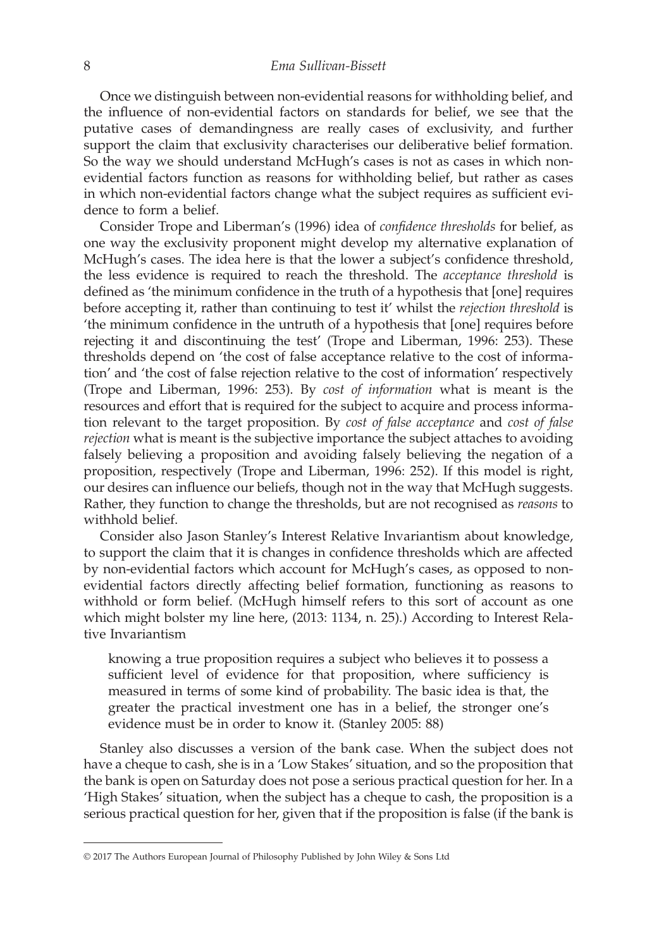Once we distinguish between non-evidential reasons for withholding belief, and the influence of non-evidential factors on standards for belief, we see that the putative cases of demandingness are really cases of exclusivity, and further support the claim that exclusivity characterises our deliberative belief formation. So the way we should understand McHugh's cases is not as cases in which nonevidential factors function as reasons for withholding belief, but rather as cases in which non-evidential factors change what the subject requires as sufficient evidence to form a belief.

Consider Trope and Liberman's (1996) idea of confidence thresholds for belief, as one way the exclusivity proponent might develop my alternative explanation of McHugh's cases. The idea here is that the lower a subject's confidence threshold, the less evidence is required to reach the threshold. The acceptance threshold is defined as 'the minimum confidence in the truth of a hypothesis that [one] requires before accepting it, rather than continuing to test it' whilst the rejection threshold is 'the minimum confidence in the untruth of a hypothesis that [one] requires before rejecting it and discontinuing the test' (Trope and Liberman, 1996: 253). These thresholds depend on 'the cost of false acceptance relative to the cost of information' and 'the cost of false rejection relative to the cost of information' respectively (Trope and Liberman, 1996: 253). By cost of information what is meant is the resources and effort that is required for the subject to acquire and process information relevant to the target proposition. By cost of false acceptance and cost of false rejection what is meant is the subjective importance the subject attaches to avoiding falsely believing a proposition and avoiding falsely believing the negation of a proposition, respectively (Trope and Liberman, 1996: 252). If this model is right, our desires can influence our beliefs, though not in the way that McHugh suggests. Rather, they function to change the thresholds, but are not recognised as reasons to withhold belief.

Consider also Jason Stanley's Interest Relative Invariantism about knowledge, to support the claim that it is changes in confidence thresholds which are affected by non-evidential factors which account for McHugh's cases, as opposed to nonevidential factors directly affecting belief formation, functioning as reasons to withhold or form belief. (McHugh himself refers to this sort of account as one which might bolster my line here, (2013: 1134, n. 25).) According to Interest Relative Invariantism

knowing a true proposition requires a subject who believes it to possess a sufficient level of evidence for that proposition, where sufficiency is measured in terms of some kind of probability. The basic idea is that, the greater the practical investment one has in a belief, the stronger one's evidence must be in order to know it. (Stanley 2005: 88)

Stanley also discusses a version of the bank case. When the subject does not have a cheque to cash, she is in a 'Low Stakes' situation, and so the proposition that the bank is open on Saturday does not pose a serious practical question for her. In a 'High Stakes' situation, when the subject has a cheque to cash, the proposition is a serious practical question for her, given that if the proposition is false (if the bank is

<sup>© 2017</sup> The Authors European Journal of Philosophy Published by John Wiley & Sons Ltd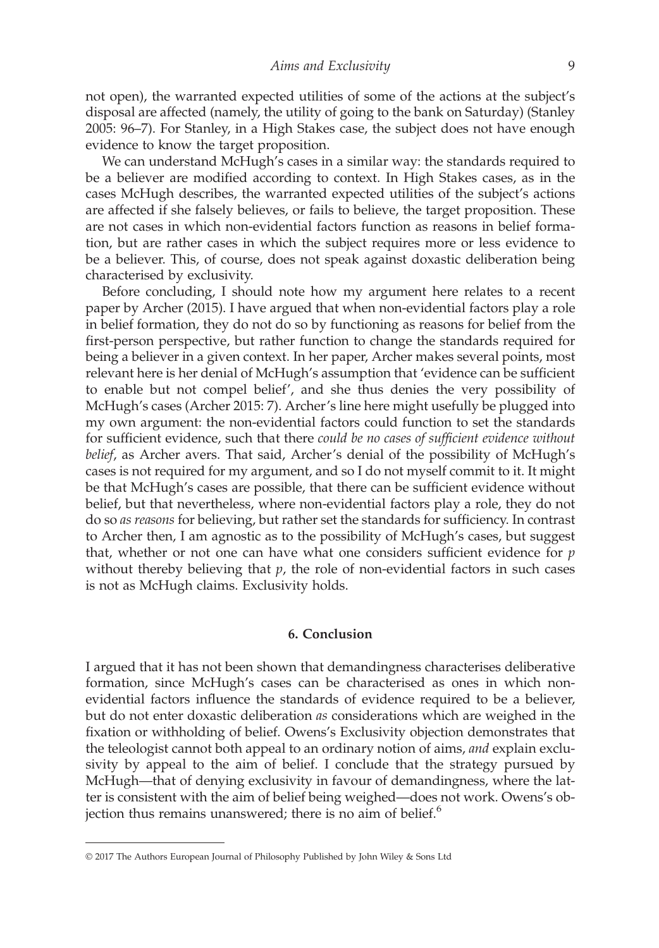not open), the warranted expected utilities of some of the actions at the subject's disposal are affected (namely, the utility of going to the bank on Saturday) (Stanley 2005: 96–7). For Stanley, in a High Stakes case, the subject does not have enough evidence to know the target proposition.

We can understand McHugh's cases in a similar way: the standards required to be a believer are modified according to context. In High Stakes cases, as in the cases McHugh describes, the warranted expected utilities of the subject's actions are affected if she falsely believes, or fails to believe, the target proposition. These are not cases in which non-evidential factors function as reasons in belief formation, but are rather cases in which the subject requires more or less evidence to be a believer. This, of course, does not speak against doxastic deliberation being characterised by exclusivity.

Before concluding, I should note how my argument here relates to a recent paper by Archer (2015). I have argued that when non-evidential factors play a role in belief formation, they do not do so by functioning as reasons for belief from the first-person perspective, but rather function to change the standards required for being a believer in a given context. In her paper, Archer makes several points, most relevant here is her denial of McHugh's assumption that 'evidence can be sufficient to enable but not compel belief', and she thus denies the very possibility of McHugh's cases (Archer 2015: 7). Archer's line here might usefully be plugged into my own argument: the non-evidential factors could function to set the standards for sufficient evidence, such that there could be no cases of sufficient evidence without belief, as Archer avers. That said, Archer's denial of the possibility of McHugh's cases is not required for my argument, and so I do not myself commit to it. It might be that McHugh's cases are possible, that there can be sufficient evidence without belief, but that nevertheless, where non-evidential factors play a role, they do not do so as reasons for believing, but rather set the standards for sufficiency. In contrast to Archer then, I am agnostic as to the possibility of McHugh's cases, but suggest that, whether or not one can have what one considers sufficient evidence for  $p$ without thereby believing that  $p$ , the role of non-evidential factors in such cases is not as McHugh claims. Exclusivity holds.

#### 6. Conclusion

I argued that it has not been shown that demandingness characterises deliberative formation, since McHugh's cases can be characterised as ones in which nonevidential factors influence the standards of evidence required to be a believer, but do not enter doxastic deliberation as considerations which are weighed in the fixation or withholding of belief. Owens's Exclusivity objection demonstrates that the teleologist cannot both appeal to an ordinary notion of aims, and explain exclusivity by appeal to the aim of belief. I conclude that the strategy pursued by McHugh—that of denying exclusivity in favour of demandingness, where the latter is consistent with the aim of belief being weighed—does not work. Owens's objection thus remains unanswered; there is no aim of belief.<sup>6</sup>

<sup>© 2017</sup> The Authors European Journal of Philosophy Published by John Wiley & Sons Ltd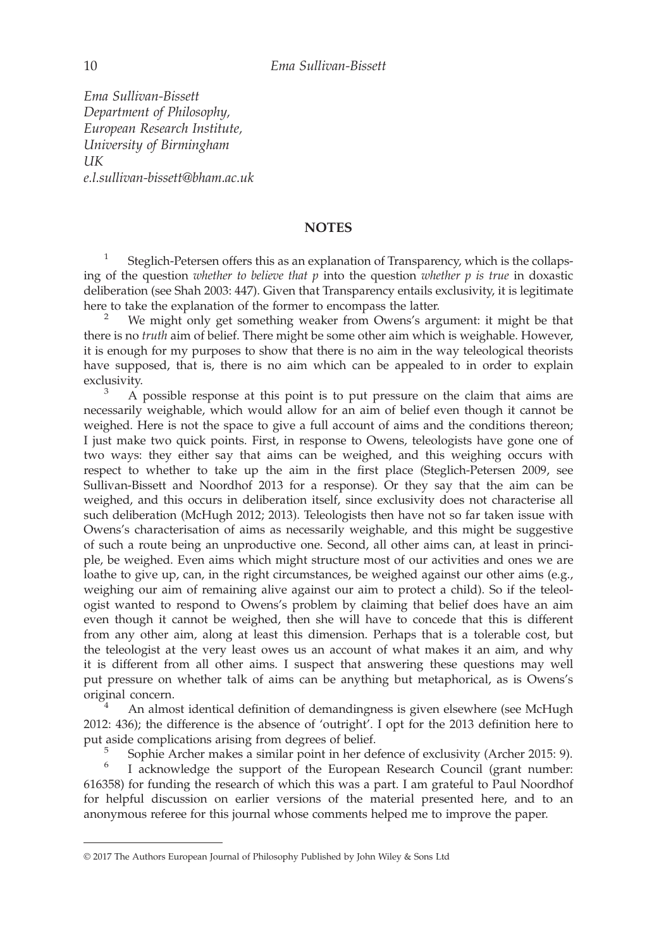Ema Sullivan-Bissett Department of Philosophy, European Research Institute, University of Birmingham UK e.l.sullivan-bissett@bham.ac.uk

#### **NOTES**

Steglich-Petersen offers this as an explanation of Transparency, which is the collapsing of the question whether to believe that p into the question whether p is true in doxastic deliberation (see Shah 2003: 447). Given that Transparency entails exclusivity, it is legitimate here to take the explanation of the former to encompass the latter.

We might only get something weaker from Owens's argument: it might be that there is no truth aim of belief. There might be some other aim which is weighable. However, it is enough for my purposes to show that there is no aim in the way teleological theorists have supposed, that is, there is no aim which can be appealed to in order to explain exclusivity.<br> $\frac{3}{3}$  A possible response at this point is to put pressure on the claim that aims are

necessarily weighable, which would allow for an aim of belief even though it cannot be weighed. Here is not the space to give a full account of aims and the conditions thereon; I just make two quick points. First, in response to Owens, teleologists have gone one of two ways: they either say that aims can be weighed, and this weighing occurs with respect to whether to take up the aim in the first place (Steglich-Petersen 2009, see Sullivan-Bissett and Noordhof 2013 for a response). Or they say that the aim can be weighed, and this occurs in deliberation itself, since exclusivity does not characterise all such deliberation (McHugh 2012; 2013). Teleologists then have not so far taken issue with Owens's characterisation of aims as necessarily weighable, and this might be suggestive of such a route being an unproductive one. Second, all other aims can, at least in principle, be weighed. Even aims which might structure most of our activities and ones we are loathe to give up, can, in the right circumstances, be weighed against our other aims (e.g., weighing our aim of remaining alive against our aim to protect a child). So if the teleologist wanted to respond to Owens's problem by claiming that belief does have an aim even though it cannot be weighed, then she will have to concede that this is different from any other aim, along at least this dimension. Perhaps that is a tolerable cost, but the teleologist at the very least owes us an account of what makes it an aim, and why it is different from all other aims. I suspect that answering these questions may well put pressure on whether talk of aims can be anything but metaphorical, as is Owens's original concern.<br><sup>4</sup> An almost identical definition of demandingness is given elsewhere (see McHugh

2012: 436); the difference is the absence of 'outright'. I opt for the 2013 definition here to put aside complications arising from degrees of belief.<br>
<sup>5</sup> Sophie Archer makes a similar point in her defence of exclusivity (Archer 2015: 9).<br>
<sup>6</sup> I acknowledge the support of the European Research Council (grant number

616358) for funding the research of which this was a part. I am grateful to Paul Noordhof for helpful discussion on earlier versions of the material presented here, and to an anonymous referee for this journal whose comments helped me to improve the paper.

<sup>© 2017</sup> The Authors European Journal of Philosophy Published by John Wiley & Sons Ltd